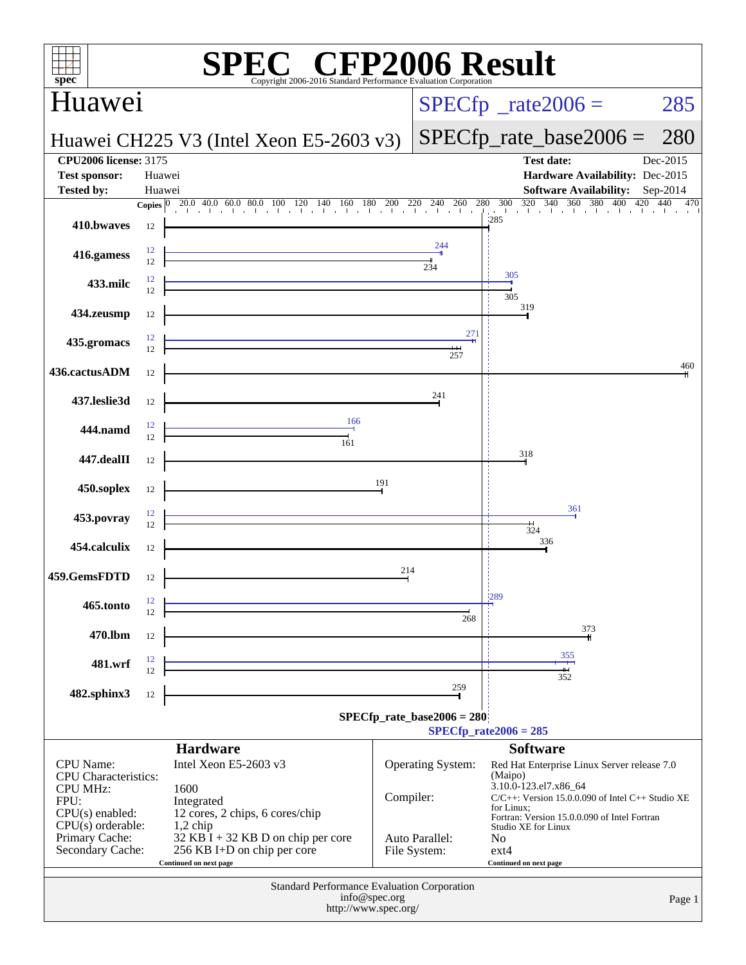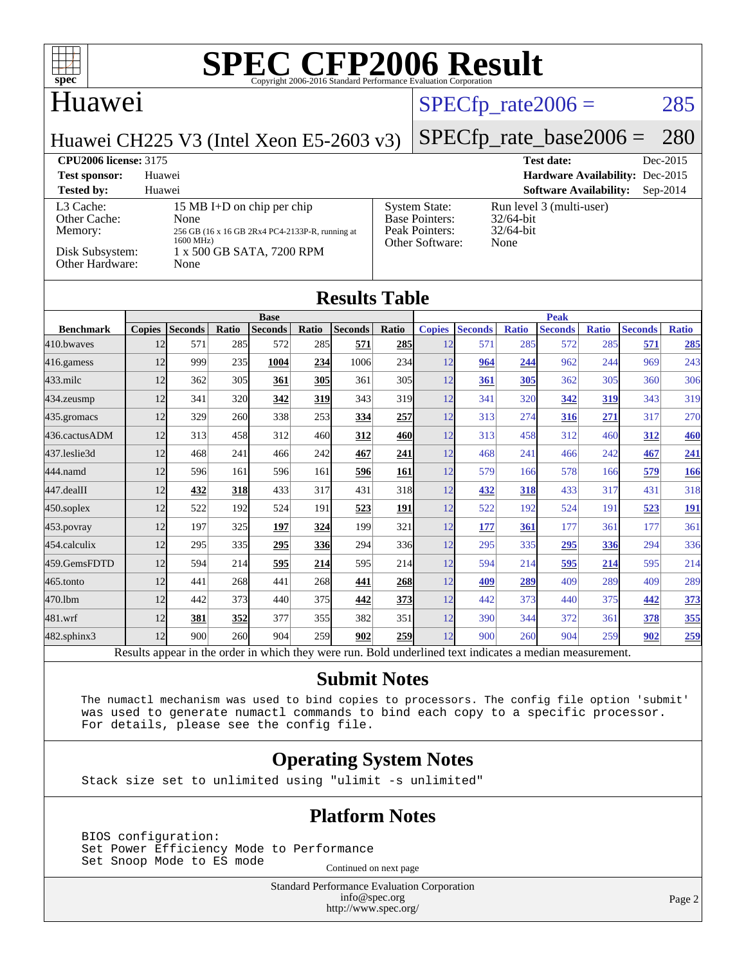

## Huawei

# $SPECTp_rate2006 = 285$

Huawei CH225 V3 (Intel Xeon E5-2603 v3)

# [SPECfp\\_rate\\_base2006 =](http://www.spec.org/auto/cpu2006/Docs/result-fields.html#SPECfpratebase2006) 280

**[CPU2006 license:](http://www.spec.org/auto/cpu2006/Docs/result-fields.html#CPU2006license)** 3175 **[Test date:](http://www.spec.org/auto/cpu2006/Docs/result-fields.html#Testdate)** Dec-2015 **[Test sponsor:](http://www.spec.org/auto/cpu2006/Docs/result-fields.html#Testsponsor)** Huawei **[Hardware Availability:](http://www.spec.org/auto/cpu2006/Docs/result-fields.html#HardwareAvailability)** Dec-2015 **[Tested by:](http://www.spec.org/auto/cpu2006/Docs/result-fields.html#Testedby)** Huawei **[Software Availability:](http://www.spec.org/auto/cpu2006/Docs/result-fields.html#SoftwareAvailability)** Sep-2014 Run level 3 (multi-user)

[Other Cache:](http://www.spec.org/auto/cpu2006/Docs/result-fields.html#OtherCache)

[L3 Cache:](http://www.spec.org/auto/cpu2006/Docs/result-fields.html#L3Cache) 15 MB I+D on chip per chip<br>Other Cache: None [Memory:](http://www.spec.org/auto/cpu2006/Docs/result-fields.html#Memory) 256 GB (16 x 16 GB 2Rx4 PC4-2133P-R, running at 1600 MHz) [Disk Subsystem:](http://www.spec.org/auto/cpu2006/Docs/result-fields.html#DiskSubsystem) 1 x 500 GB SATA, 7200 RPM [Other Hardware:](http://www.spec.org/auto/cpu2006/Docs/result-fields.html#OtherHardware) None

32/64-bit 32/64-bit None

### **[Results Table](http://www.spec.org/auto/cpu2006/Docs/result-fields.html#ResultsTable)**

|                      | <b>Base</b>   |                |       |                |            |                |            |               | <b>Peak</b>    |              |                |              |                |              |  |
|----------------------|---------------|----------------|-------|----------------|------------|----------------|------------|---------------|----------------|--------------|----------------|--------------|----------------|--------------|--|
| <b>Benchmark</b>     | <b>Copies</b> | <b>Seconds</b> | Ratio | <b>Seconds</b> | Ratio      | <b>Seconds</b> | Ratio      | <b>Copies</b> | <b>Seconds</b> | <b>Ratio</b> | <b>Seconds</b> | <b>Ratio</b> | <b>Seconds</b> | <b>Ratio</b> |  |
| 410.bwayes           | 12            | 571            | 285   | 572            | 285        | 571            | 285        | 12            | 571            | 285          | 572            | 285          | 571            | 285          |  |
| 416.gamess           | 12            | 999            | 235   | 1004           | 234        | 1006           | 234        | 12            | 964            | 244          | 962            | 244          | 969            | 243          |  |
| $433$ .milc          | 12            | 362            | 305   | 361            | <b>305</b> | 361            | 305        | 12            | <b>361</b>     | 305          | 362            | 305          | 360            | 306          |  |
| 434.zeusmp           | 12            | 341            | 320   | 342            | <b>319</b> | 343            | 319        | 12            | 341            | 320          | 342            | 319          | 343            | 319          |  |
| 435.gromacs          | 12            | 329            | 260   | 338            | 253        | 334            | 257        | 12            | 313            | 274          | 316            | 271          | 317            | 270          |  |
| 436.cactusADM        | 12            | 313            | 458   | 312            | 460        | 312            | 460        | 12            | 313            | 458          | 312            | 460          | 312            | <b>460</b>   |  |
| 437.leslie3d         | 12            | 468            | 241   | 466            | 242        | 467            | 241        | 12            | 468            | 241          | 466            | 242          | 467            | 241          |  |
| 444.namd             | 12            | 596            | 161   | 596            | 161        | 596            | 161        | 12            | 579            | 166          | 578            | 166          | 579            | <b>166</b>   |  |
| $ 447.\text{dealII}$ | 12            | 432            | 318   | 433            | 317        | 431            | 318        | 12            | 432            | 318          | 433            | 317          | 431            | 318          |  |
| $450$ .soplex        | 12            | 522            | 192   | 524            | 191        | 523            | <u>191</u> | 12            | 522            | 192          | 524            | 191          | 523            | <u>191</u>   |  |
| 453.povray           | 12            | 197            | 325   | 197            | 324        | 199            | 321        | 12            | <b>177</b>     | 361          | 177            | 361          | 177            | 361          |  |
| 454.calculix         | 12            | 295            | 335   | 295            | 336        | 294            | <b>336</b> | 12            | 295            | 335          | 295            | 336          | 294            | 336          |  |
| 459.GemsFDTD         | 12            | 594            | 214   | 595            | 214        | 595            | 214        | 12            | 594            | 214          | 595            | 214          | 595            | 214          |  |
| 465.tonto            | 12            | 441            | 268   | 441            | 268        | 441            | 268        | 12            | 409            | 289          | 409            | 289          | 409            | 289          |  |
| 470.1bm              | 12            | 442            | 373   | 440            | 375        | 442            | 373        | 12            | 442            | 373          | 440            | 375          | 442            | 373          |  |
| 481.wrf              | 12            | 381            | 352   | 377            | 355        | 382            | 351        | 12            | 390            | 344          | 372            | 361          | 378            | 355          |  |
| 482.sphinx3          | 12            | 900            | 260   | 904            | 259        | 902            | 259        | 12            | 900            | 260          | 904            | 259          | 902            | 259          |  |

Results appear in the [order in which they were run.](http://www.spec.org/auto/cpu2006/Docs/result-fields.html#RunOrder) Bold underlined text [indicates a median measurement.](http://www.spec.org/auto/cpu2006/Docs/result-fields.html#Median)

#### **[Submit Notes](http://www.spec.org/auto/cpu2006/Docs/result-fields.html#SubmitNotes)**

 The numactl mechanism was used to bind copies to processors. The config file option 'submit' was used to generate numactl commands to bind each copy to a specific processor. For details, please see the config file.

### **[Operating System Notes](http://www.spec.org/auto/cpu2006/Docs/result-fields.html#OperatingSystemNotes)**

Stack size set to unlimited using "ulimit -s unlimited"

### **[Platform Notes](http://www.spec.org/auto/cpu2006/Docs/result-fields.html#PlatformNotes)**

 BIOS configuration: Set Power Efficiency Mode to Performance Set Snoop Mode to ES mode<br>
Continued on next page

Standard Performance Evaluation Corporation [info@spec.org](mailto:info@spec.org) <http://www.spec.org/>

Page 2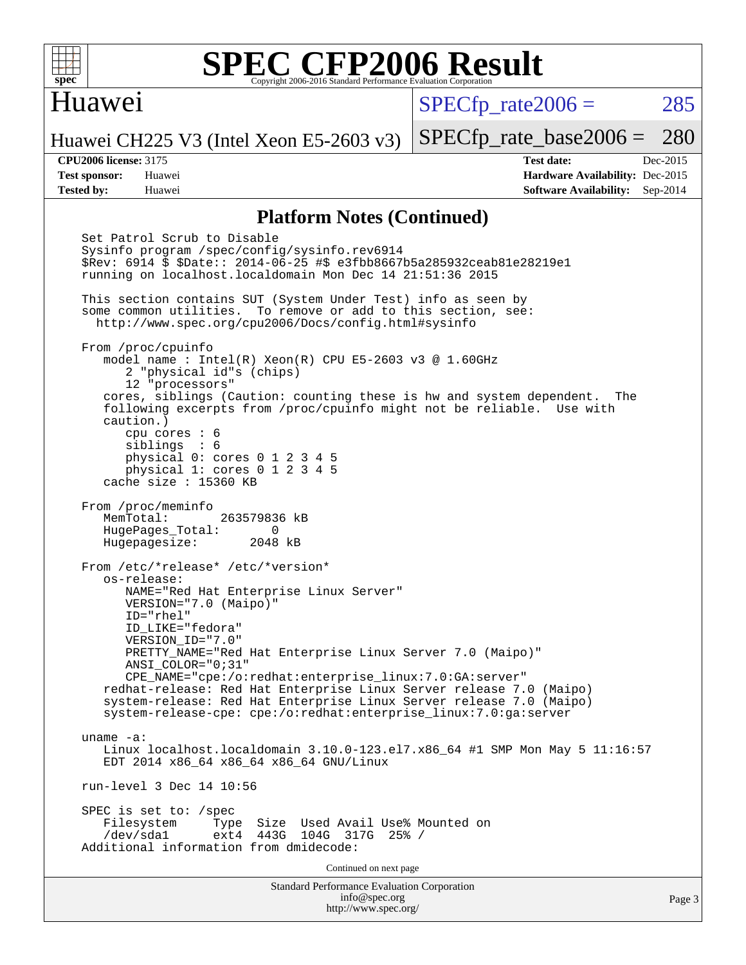

## Huawei

 $SPECTp\_rate2006 = 285$ 

[SPECfp\\_rate\\_base2006 =](http://www.spec.org/auto/cpu2006/Docs/result-fields.html#SPECfpratebase2006) 280

Huawei CH225 V3 (Intel Xeon E5-2603 v3)

**[Tested by:](http://www.spec.org/auto/cpu2006/Docs/result-fields.html#Testedby)** Huawei **[Software Availability:](http://www.spec.org/auto/cpu2006/Docs/result-fields.html#SoftwareAvailability)** Sep-2014

**[CPU2006 license:](http://www.spec.org/auto/cpu2006/Docs/result-fields.html#CPU2006license)** 3175 **[Test date:](http://www.spec.org/auto/cpu2006/Docs/result-fields.html#Testdate)** Dec-2015 **[Test sponsor:](http://www.spec.org/auto/cpu2006/Docs/result-fields.html#Testsponsor)** Huawei **[Hardware Availability:](http://www.spec.org/auto/cpu2006/Docs/result-fields.html#HardwareAvailability)** Dec-2015

#### **[Platform Notes \(Continued\)](http://www.spec.org/auto/cpu2006/Docs/result-fields.html#PlatformNotes)**

Standard Performance Evaluation Corporation [info@spec.org](mailto:info@spec.org) <http://www.spec.org/> Page 3 Set Patrol Scrub to Disable Sysinfo program /spec/config/sysinfo.rev6914 \$Rev: 6914 \$ \$Date:: 2014-06-25 #\$ e3fbb8667b5a285932ceab81e28219e1 running on localhost.localdomain Mon Dec 14 21:51:36 2015 This section contains SUT (System Under Test) info as seen by some common utilities. To remove or add to this section, see: <http://www.spec.org/cpu2006/Docs/config.html#sysinfo> From /proc/cpuinfo model name : Intel(R) Xeon(R) CPU E5-2603 v3 @ 1.60GHz 2 "physical id"s (chips) 12 "processors" cores, siblings (Caution: counting these is hw and system dependent. The following excerpts from /proc/cpuinfo might not be reliable. Use with caution.) cpu cores : 6 siblings : 6 physical 0: cores 0 1 2 3 4 5 physical 1: cores 0 1 2 3 4 5 cache size : 15360 KB From /proc/meminfo MemTotal: 263579836 kB HugePages\_Total: 0<br>Hugepagesize: 2048 kB Hugepagesize: From /etc/\*release\* /etc/\*version\* os-release: NAME="Red Hat Enterprise Linux Server" VERSION="7.0 (Maipo)" ID="rhel" ID\_LIKE="fedora" VERSION\_ID="7.0" PRETTY NAME="Red Hat Enterprise Linux Server 7.0 (Maipo)" ANSI\_COLOR="0;31" CPE\_NAME="cpe:/o:redhat:enterprise\_linux:7.0:GA:server" redhat-release: Red Hat Enterprise Linux Server release 7.0 (Maipo) system-release: Red Hat Enterprise Linux Server release 7.0 (Maipo) system-release-cpe: cpe:/o:redhat:enterprise\_linux:7.0:ga:server uname -a: Linux localhost.localdomain 3.10.0-123.el7.x86\_64 #1 SMP Mon May 5 11:16:57 EDT 2014 x86\_64 x86\_64 x86\_64 GNU/Linux run-level 3 Dec 14 10:56 SPEC is set to: /spec Filesystem Type Size Used Avail Use% Mounted on<br>
/dev/sdal ext4 443G 104G 317G 25% / 104G 317G 25% / Additional information from dmidecode: Continued on next page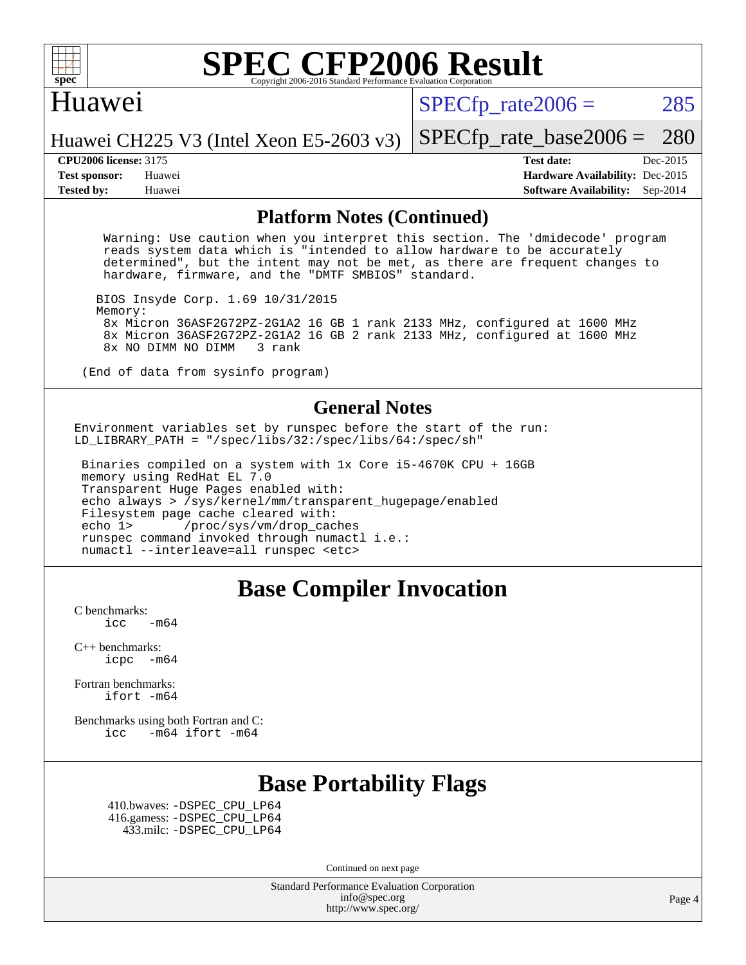

### Huawei

 $SPECTp\_rate2006 = 285$ 

[SPECfp\\_rate\\_base2006 =](http://www.spec.org/auto/cpu2006/Docs/result-fields.html#SPECfpratebase2006) 280

#### Huawei CH225 V3 (Intel Xeon E5-2603 v3)

**[CPU2006 license:](http://www.spec.org/auto/cpu2006/Docs/result-fields.html#CPU2006license)** 3175 **[Test date:](http://www.spec.org/auto/cpu2006/Docs/result-fields.html#Testdate)** Dec-2015 **[Test sponsor:](http://www.spec.org/auto/cpu2006/Docs/result-fields.html#Testsponsor)** Huawei **[Hardware Availability:](http://www.spec.org/auto/cpu2006/Docs/result-fields.html#HardwareAvailability)** Dec-2015 **[Tested by:](http://www.spec.org/auto/cpu2006/Docs/result-fields.html#Testedby)** Huawei **[Software Availability:](http://www.spec.org/auto/cpu2006/Docs/result-fields.html#SoftwareAvailability)** Sep-2014

#### **[Platform Notes \(Continued\)](http://www.spec.org/auto/cpu2006/Docs/result-fields.html#PlatformNotes)**

 Warning: Use caution when you interpret this section. The 'dmidecode' program reads system data which is "intended to allow hardware to be accurately determined", but the intent may not be met, as there are frequent changes to hardware, firmware, and the "DMTF SMBIOS" standard.

 BIOS Insyde Corp. 1.69 10/31/2015 Memory: 8x Micron 36ASF2G72PZ-2G1A2 16 GB 1 rank 2133 MHz, configured at 1600 MHz 8x Micron 36ASF2G72PZ-2G1A2 16 GB 2 rank 2133 MHz, configured at 1600 MHz 8x NO DIMM NO DIMM

(End of data from sysinfo program)

#### **[General Notes](http://www.spec.org/auto/cpu2006/Docs/result-fields.html#GeneralNotes)**

Environment variables set by runspec before the start of the run: LD LIBRARY PATH = "/spec/libs/32:/spec/libs/64:/spec/sh"

 Binaries compiled on a system with 1x Core i5-4670K CPU + 16GB memory using RedHat EL 7.0 Transparent Huge Pages enabled with: echo always > /sys/kernel/mm/transparent\_hugepage/enabled Filesystem page cache cleared with: echo 1> /proc/sys/vm/drop\_caches runspec command invoked through numactl i.e.: numactl --interleave=all runspec <etc>

### **[Base Compiler Invocation](http://www.spec.org/auto/cpu2006/Docs/result-fields.html#BaseCompilerInvocation)**

[C benchmarks](http://www.spec.org/auto/cpu2006/Docs/result-fields.html#Cbenchmarks):  $\text{icc}$  -m64

[C++ benchmarks:](http://www.spec.org/auto/cpu2006/Docs/result-fields.html#CXXbenchmarks)  $i<sub>core</sub>$   $-m64$ 

[Fortran benchmarks](http://www.spec.org/auto/cpu2006/Docs/result-fields.html#Fortranbenchmarks): [ifort -m64](http://www.spec.org/cpu2006/results/res2016q1/cpu2006-20160107-38592.flags.html#user_FCbase_intel_ifort_64bit_ee9d0fb25645d0210d97eb0527dcc06e)

[Benchmarks using both Fortran and C](http://www.spec.org/auto/cpu2006/Docs/result-fields.html#BenchmarksusingbothFortranandC): [icc -m64](http://www.spec.org/cpu2006/results/res2016q1/cpu2006-20160107-38592.flags.html#user_CC_FCbase_intel_icc_64bit_0b7121f5ab7cfabee23d88897260401c) [ifort -m64](http://www.spec.org/cpu2006/results/res2016q1/cpu2006-20160107-38592.flags.html#user_CC_FCbase_intel_ifort_64bit_ee9d0fb25645d0210d97eb0527dcc06e)

# **[Base Portability Flags](http://www.spec.org/auto/cpu2006/Docs/result-fields.html#BasePortabilityFlags)**

 410.bwaves: [-DSPEC\\_CPU\\_LP64](http://www.spec.org/cpu2006/results/res2016q1/cpu2006-20160107-38592.flags.html#suite_basePORTABILITY410_bwaves_DSPEC_CPU_LP64) 416.gamess: [-DSPEC\\_CPU\\_LP64](http://www.spec.org/cpu2006/results/res2016q1/cpu2006-20160107-38592.flags.html#suite_basePORTABILITY416_gamess_DSPEC_CPU_LP64) 433.milc: [-DSPEC\\_CPU\\_LP64](http://www.spec.org/cpu2006/results/res2016q1/cpu2006-20160107-38592.flags.html#suite_basePORTABILITY433_milc_DSPEC_CPU_LP64)

Continued on next page

Standard Performance Evaluation Corporation [info@spec.org](mailto:info@spec.org) <http://www.spec.org/>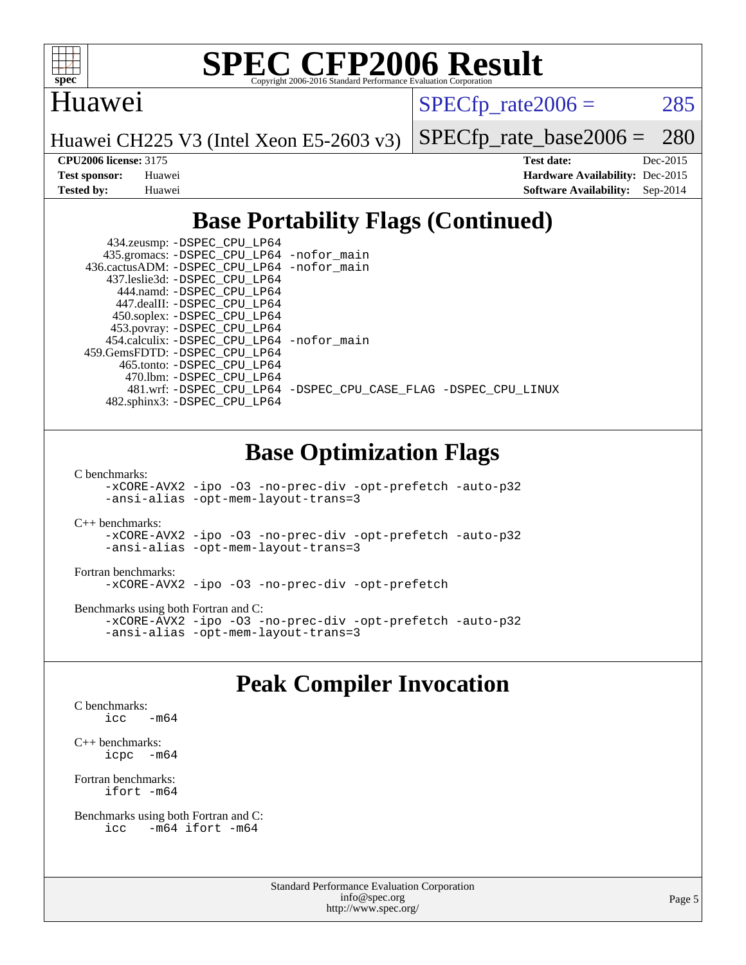

## Huawei

 $SPECTp\_rate2006 = 285$ 

Huawei CH225 V3 (Intel Xeon E5-2603 v3)

[SPECfp\\_rate\\_base2006 =](http://www.spec.org/auto/cpu2006/Docs/result-fields.html#SPECfpratebase2006) 280

**[CPU2006 license:](http://www.spec.org/auto/cpu2006/Docs/result-fields.html#CPU2006license)** 3175 **[Test date:](http://www.spec.org/auto/cpu2006/Docs/result-fields.html#Testdate)** Dec-2015 **[Test sponsor:](http://www.spec.org/auto/cpu2006/Docs/result-fields.html#Testsponsor)** Huawei **[Hardware Availability:](http://www.spec.org/auto/cpu2006/Docs/result-fields.html#HardwareAvailability)** Dec-2015 **[Tested by:](http://www.spec.org/auto/cpu2006/Docs/result-fields.html#Testedby)** Huawei **[Software Availability:](http://www.spec.org/auto/cpu2006/Docs/result-fields.html#SoftwareAvailability)** Sep-2014

# **[Base Portability Flags \(Continued\)](http://www.spec.org/auto/cpu2006/Docs/result-fields.html#BasePortabilityFlags)**

| 434.zeusmp: -DSPEC_CPU_LP64                |                                                                |
|--------------------------------------------|----------------------------------------------------------------|
| 435.gromacs: -DSPEC_CPU_LP64 -nofor_main   |                                                                |
| 436.cactusADM: -DSPEC CPU LP64 -nofor main |                                                                |
| 437.leslie3d: -DSPEC CPU LP64              |                                                                |
| 444.namd: - DSPEC_CPU LP64                 |                                                                |
| 447.dealII: -DSPEC CPU LP64                |                                                                |
| 450.soplex: -DSPEC_CPU_LP64                |                                                                |
| 453.povray: -DSPEC_CPU_LP64                |                                                                |
| 454.calculix: -DSPEC CPU LP64 -nofor main  |                                                                |
| 459. GemsFDTD: - DSPEC CPU LP64            |                                                                |
| 465.tonto: -DSPEC CPU LP64                 |                                                                |
| 470.1bm: - DSPEC CPU LP64                  |                                                                |
|                                            | 481.wrf: -DSPEC_CPU_LP64 -DSPEC_CPU_CASE_FLAG -DSPEC_CPU_LINUX |
| 482.sphinx3: -DSPEC_CPU_LP64               |                                                                |

# **[Base Optimization Flags](http://www.spec.org/auto/cpu2006/Docs/result-fields.html#BaseOptimizationFlags)**

[C benchmarks](http://www.spec.org/auto/cpu2006/Docs/result-fields.html#Cbenchmarks):

[-xCORE-AVX2](http://www.spec.org/cpu2006/results/res2016q1/cpu2006-20160107-38592.flags.html#user_CCbase_f-xAVX2_5f5fc0cbe2c9f62c816d3e45806c70d7) [-ipo](http://www.spec.org/cpu2006/results/res2016q1/cpu2006-20160107-38592.flags.html#user_CCbase_f-ipo) [-O3](http://www.spec.org/cpu2006/results/res2016q1/cpu2006-20160107-38592.flags.html#user_CCbase_f-O3) [-no-prec-div](http://www.spec.org/cpu2006/results/res2016q1/cpu2006-20160107-38592.flags.html#user_CCbase_f-no-prec-div) [-opt-prefetch](http://www.spec.org/cpu2006/results/res2016q1/cpu2006-20160107-38592.flags.html#user_CCbase_f-opt-prefetch) [-auto-p32](http://www.spec.org/cpu2006/results/res2016q1/cpu2006-20160107-38592.flags.html#user_CCbase_f-auto-p32) [-ansi-alias](http://www.spec.org/cpu2006/results/res2016q1/cpu2006-20160107-38592.flags.html#user_CCbase_f-ansi-alias) [-opt-mem-layout-trans=3](http://www.spec.org/cpu2006/results/res2016q1/cpu2006-20160107-38592.flags.html#user_CCbase_f-opt-mem-layout-trans_a7b82ad4bd7abf52556d4961a2ae94d5)

[C++ benchmarks:](http://www.spec.org/auto/cpu2006/Docs/result-fields.html#CXXbenchmarks)

[-xCORE-AVX2](http://www.spec.org/cpu2006/results/res2016q1/cpu2006-20160107-38592.flags.html#user_CXXbase_f-xAVX2_5f5fc0cbe2c9f62c816d3e45806c70d7) [-ipo](http://www.spec.org/cpu2006/results/res2016q1/cpu2006-20160107-38592.flags.html#user_CXXbase_f-ipo) [-O3](http://www.spec.org/cpu2006/results/res2016q1/cpu2006-20160107-38592.flags.html#user_CXXbase_f-O3) [-no-prec-div](http://www.spec.org/cpu2006/results/res2016q1/cpu2006-20160107-38592.flags.html#user_CXXbase_f-no-prec-div) [-opt-prefetch](http://www.spec.org/cpu2006/results/res2016q1/cpu2006-20160107-38592.flags.html#user_CXXbase_f-opt-prefetch) [-auto-p32](http://www.spec.org/cpu2006/results/res2016q1/cpu2006-20160107-38592.flags.html#user_CXXbase_f-auto-p32) [-ansi-alias](http://www.spec.org/cpu2006/results/res2016q1/cpu2006-20160107-38592.flags.html#user_CXXbase_f-ansi-alias) [-opt-mem-layout-trans=3](http://www.spec.org/cpu2006/results/res2016q1/cpu2006-20160107-38592.flags.html#user_CXXbase_f-opt-mem-layout-trans_a7b82ad4bd7abf52556d4961a2ae94d5)

#### [Fortran benchmarks](http://www.spec.org/auto/cpu2006/Docs/result-fields.html#Fortranbenchmarks):

[-xCORE-AVX2](http://www.spec.org/cpu2006/results/res2016q1/cpu2006-20160107-38592.flags.html#user_FCbase_f-xAVX2_5f5fc0cbe2c9f62c816d3e45806c70d7) [-ipo](http://www.spec.org/cpu2006/results/res2016q1/cpu2006-20160107-38592.flags.html#user_FCbase_f-ipo) [-O3](http://www.spec.org/cpu2006/results/res2016q1/cpu2006-20160107-38592.flags.html#user_FCbase_f-O3) [-no-prec-div](http://www.spec.org/cpu2006/results/res2016q1/cpu2006-20160107-38592.flags.html#user_FCbase_f-no-prec-div) [-opt-prefetch](http://www.spec.org/cpu2006/results/res2016q1/cpu2006-20160107-38592.flags.html#user_FCbase_f-opt-prefetch)

[Benchmarks using both Fortran and C](http://www.spec.org/auto/cpu2006/Docs/result-fields.html#BenchmarksusingbothFortranandC):

[-xCORE-AVX2](http://www.spec.org/cpu2006/results/res2016q1/cpu2006-20160107-38592.flags.html#user_CC_FCbase_f-xAVX2_5f5fc0cbe2c9f62c816d3e45806c70d7) [-ipo](http://www.spec.org/cpu2006/results/res2016q1/cpu2006-20160107-38592.flags.html#user_CC_FCbase_f-ipo) [-O3](http://www.spec.org/cpu2006/results/res2016q1/cpu2006-20160107-38592.flags.html#user_CC_FCbase_f-O3) [-no-prec-div](http://www.spec.org/cpu2006/results/res2016q1/cpu2006-20160107-38592.flags.html#user_CC_FCbase_f-no-prec-div) [-opt-prefetch](http://www.spec.org/cpu2006/results/res2016q1/cpu2006-20160107-38592.flags.html#user_CC_FCbase_f-opt-prefetch) [-auto-p32](http://www.spec.org/cpu2006/results/res2016q1/cpu2006-20160107-38592.flags.html#user_CC_FCbase_f-auto-p32) [-ansi-alias](http://www.spec.org/cpu2006/results/res2016q1/cpu2006-20160107-38592.flags.html#user_CC_FCbase_f-ansi-alias) [-opt-mem-layout-trans=3](http://www.spec.org/cpu2006/results/res2016q1/cpu2006-20160107-38592.flags.html#user_CC_FCbase_f-opt-mem-layout-trans_a7b82ad4bd7abf52556d4961a2ae94d5)

# **[Peak Compiler Invocation](http://www.spec.org/auto/cpu2006/Docs/result-fields.html#PeakCompilerInvocation)**

[C benchmarks](http://www.spec.org/auto/cpu2006/Docs/result-fields.html#Cbenchmarks):  $\frac{1}{2}$ cc  $-\text{m64}$ 

[C++ benchmarks:](http://www.spec.org/auto/cpu2006/Docs/result-fields.html#CXXbenchmarks) [icpc -m64](http://www.spec.org/cpu2006/results/res2016q1/cpu2006-20160107-38592.flags.html#user_CXXpeak_intel_icpc_64bit_bedb90c1146cab66620883ef4f41a67e)

[Fortran benchmarks](http://www.spec.org/auto/cpu2006/Docs/result-fields.html#Fortranbenchmarks): [ifort -m64](http://www.spec.org/cpu2006/results/res2016q1/cpu2006-20160107-38592.flags.html#user_FCpeak_intel_ifort_64bit_ee9d0fb25645d0210d97eb0527dcc06e)

[Benchmarks using both Fortran and C](http://www.spec.org/auto/cpu2006/Docs/result-fields.html#BenchmarksusingbothFortranandC): [icc -m64](http://www.spec.org/cpu2006/results/res2016q1/cpu2006-20160107-38592.flags.html#user_CC_FCpeak_intel_icc_64bit_0b7121f5ab7cfabee23d88897260401c) [ifort -m64](http://www.spec.org/cpu2006/results/res2016q1/cpu2006-20160107-38592.flags.html#user_CC_FCpeak_intel_ifort_64bit_ee9d0fb25645d0210d97eb0527dcc06e)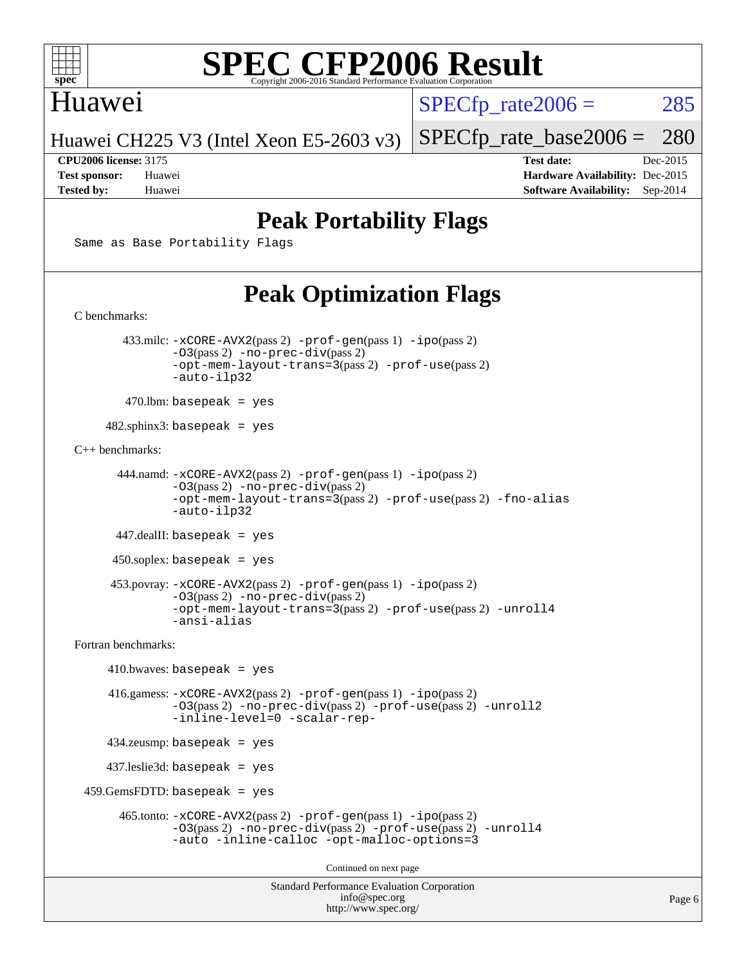

## Huawei

 $SPECTp\_rate2006 = 285$ 

[SPECfp\\_rate\\_base2006 =](http://www.spec.org/auto/cpu2006/Docs/result-fields.html#SPECfpratebase2006) 280

Huawei CH225 V3 (Intel Xeon E5-2603 v3)

**[CPU2006 license:](http://www.spec.org/auto/cpu2006/Docs/result-fields.html#CPU2006license)** 3175 **[Test date:](http://www.spec.org/auto/cpu2006/Docs/result-fields.html#Testdate)** Dec-2015 **[Test sponsor:](http://www.spec.org/auto/cpu2006/Docs/result-fields.html#Testsponsor)** Huawei **[Hardware Availability:](http://www.spec.org/auto/cpu2006/Docs/result-fields.html#HardwareAvailability)** Dec-2015 **[Tested by:](http://www.spec.org/auto/cpu2006/Docs/result-fields.html#Testedby)** Huawei **[Software Availability:](http://www.spec.org/auto/cpu2006/Docs/result-fields.html#SoftwareAvailability)** Sep-2014

# **[Peak Portability Flags](http://www.spec.org/auto/cpu2006/Docs/result-fields.html#PeakPortabilityFlags)**

Same as Base Portability Flags

# **[Peak Optimization Flags](http://www.spec.org/auto/cpu2006/Docs/result-fields.html#PeakOptimizationFlags)**

Standard Performance Evaluation Corporation [info@spec.org](mailto:info@spec.org) [C benchmarks](http://www.spec.org/auto/cpu2006/Docs/result-fields.html#Cbenchmarks): 433.milc: [-xCORE-AVX2](http://www.spec.org/cpu2006/results/res2016q1/cpu2006-20160107-38592.flags.html#user_peakPASS2_CFLAGSPASS2_LDFLAGS433_milc_f-xAVX2_5f5fc0cbe2c9f62c816d3e45806c70d7)(pass 2) [-prof-gen](http://www.spec.org/cpu2006/results/res2016q1/cpu2006-20160107-38592.flags.html#user_peakPASS1_CFLAGSPASS1_LDFLAGS433_milc_prof_gen_e43856698f6ca7b7e442dfd80e94a8fc)(pass 1) [-ipo](http://www.spec.org/cpu2006/results/res2016q1/cpu2006-20160107-38592.flags.html#user_peakPASS2_CFLAGSPASS2_LDFLAGS433_milc_f-ipo)(pass 2) [-O3](http://www.spec.org/cpu2006/results/res2016q1/cpu2006-20160107-38592.flags.html#user_peakPASS2_CFLAGSPASS2_LDFLAGS433_milc_f-O3)(pass 2) [-no-prec-div](http://www.spec.org/cpu2006/results/res2016q1/cpu2006-20160107-38592.flags.html#user_peakPASS2_CFLAGSPASS2_LDFLAGS433_milc_f-no-prec-div)(pass 2) [-opt-mem-layout-trans=3](http://www.spec.org/cpu2006/results/res2016q1/cpu2006-20160107-38592.flags.html#user_peakPASS2_CFLAGS433_milc_f-opt-mem-layout-trans_a7b82ad4bd7abf52556d4961a2ae94d5)(pass 2) [-prof-use](http://www.spec.org/cpu2006/results/res2016q1/cpu2006-20160107-38592.flags.html#user_peakPASS2_CFLAGSPASS2_LDFLAGS433_milc_prof_use_bccf7792157ff70d64e32fe3e1250b55)(pass 2) [-auto-ilp32](http://www.spec.org/cpu2006/results/res2016q1/cpu2006-20160107-38592.flags.html#user_peakCOPTIMIZE433_milc_f-auto-ilp32)  $470$ .lbm: basepeak = yes 482.sphinx3: basepeak = yes [C++ benchmarks:](http://www.spec.org/auto/cpu2006/Docs/result-fields.html#CXXbenchmarks) 444.namd: [-xCORE-AVX2](http://www.spec.org/cpu2006/results/res2016q1/cpu2006-20160107-38592.flags.html#user_peakPASS2_CXXFLAGSPASS2_LDFLAGS444_namd_f-xAVX2_5f5fc0cbe2c9f62c816d3e45806c70d7)(pass 2) [-prof-gen](http://www.spec.org/cpu2006/results/res2016q1/cpu2006-20160107-38592.flags.html#user_peakPASS1_CXXFLAGSPASS1_LDFLAGS444_namd_prof_gen_e43856698f6ca7b7e442dfd80e94a8fc)(pass 1) [-ipo](http://www.spec.org/cpu2006/results/res2016q1/cpu2006-20160107-38592.flags.html#user_peakPASS2_CXXFLAGSPASS2_LDFLAGS444_namd_f-ipo)(pass 2) [-O3](http://www.spec.org/cpu2006/results/res2016q1/cpu2006-20160107-38592.flags.html#user_peakPASS2_CXXFLAGSPASS2_LDFLAGS444_namd_f-O3)(pass 2) [-no-prec-div](http://www.spec.org/cpu2006/results/res2016q1/cpu2006-20160107-38592.flags.html#user_peakPASS2_CXXFLAGSPASS2_LDFLAGS444_namd_f-no-prec-div)(pass 2) [-opt-mem-layout-trans=3](http://www.spec.org/cpu2006/results/res2016q1/cpu2006-20160107-38592.flags.html#user_peakPASS2_CXXFLAGS444_namd_f-opt-mem-layout-trans_a7b82ad4bd7abf52556d4961a2ae94d5)(pass 2) [-prof-use](http://www.spec.org/cpu2006/results/res2016q1/cpu2006-20160107-38592.flags.html#user_peakPASS2_CXXFLAGSPASS2_LDFLAGS444_namd_prof_use_bccf7792157ff70d64e32fe3e1250b55)(pass 2) [-fno-alias](http://www.spec.org/cpu2006/results/res2016q1/cpu2006-20160107-38592.flags.html#user_peakCXXOPTIMIZE444_namd_f-no-alias_694e77f6c5a51e658e82ccff53a9e63a) [-auto-ilp32](http://www.spec.org/cpu2006/results/res2016q1/cpu2006-20160107-38592.flags.html#user_peakCXXOPTIMIZE444_namd_f-auto-ilp32) 447.dealII: basepeak = yes  $450$ .soplex: basepeak = yes 453.povray: [-xCORE-AVX2](http://www.spec.org/cpu2006/results/res2016q1/cpu2006-20160107-38592.flags.html#user_peakPASS2_CXXFLAGSPASS2_LDFLAGS453_povray_f-xAVX2_5f5fc0cbe2c9f62c816d3e45806c70d7)(pass 2) [-prof-gen](http://www.spec.org/cpu2006/results/res2016q1/cpu2006-20160107-38592.flags.html#user_peakPASS1_CXXFLAGSPASS1_LDFLAGS453_povray_prof_gen_e43856698f6ca7b7e442dfd80e94a8fc)(pass 1) [-ipo](http://www.spec.org/cpu2006/results/res2016q1/cpu2006-20160107-38592.flags.html#user_peakPASS2_CXXFLAGSPASS2_LDFLAGS453_povray_f-ipo)(pass 2) [-O3](http://www.spec.org/cpu2006/results/res2016q1/cpu2006-20160107-38592.flags.html#user_peakPASS2_CXXFLAGSPASS2_LDFLAGS453_povray_f-O3)(pass 2) [-no-prec-div](http://www.spec.org/cpu2006/results/res2016q1/cpu2006-20160107-38592.flags.html#user_peakPASS2_CXXFLAGSPASS2_LDFLAGS453_povray_f-no-prec-div)(pass 2) [-opt-mem-layout-trans=3](http://www.spec.org/cpu2006/results/res2016q1/cpu2006-20160107-38592.flags.html#user_peakPASS2_CXXFLAGS453_povray_f-opt-mem-layout-trans_a7b82ad4bd7abf52556d4961a2ae94d5)(pass 2) [-prof-use](http://www.spec.org/cpu2006/results/res2016q1/cpu2006-20160107-38592.flags.html#user_peakPASS2_CXXFLAGSPASS2_LDFLAGS453_povray_prof_use_bccf7792157ff70d64e32fe3e1250b55)(pass 2) [-unroll4](http://www.spec.org/cpu2006/results/res2016q1/cpu2006-20160107-38592.flags.html#user_peakCXXOPTIMIZE453_povray_f-unroll_4e5e4ed65b7fd20bdcd365bec371b81f) [-ansi-alias](http://www.spec.org/cpu2006/results/res2016q1/cpu2006-20160107-38592.flags.html#user_peakCXXOPTIMIZE453_povray_f-ansi-alias) [Fortran benchmarks](http://www.spec.org/auto/cpu2006/Docs/result-fields.html#Fortranbenchmarks):  $410.bwaves: basepeak = yes$  416.gamess: [-xCORE-AVX2](http://www.spec.org/cpu2006/results/res2016q1/cpu2006-20160107-38592.flags.html#user_peakPASS2_FFLAGSPASS2_LDFLAGS416_gamess_f-xAVX2_5f5fc0cbe2c9f62c816d3e45806c70d7)(pass 2) [-prof-gen](http://www.spec.org/cpu2006/results/res2016q1/cpu2006-20160107-38592.flags.html#user_peakPASS1_FFLAGSPASS1_LDFLAGS416_gamess_prof_gen_e43856698f6ca7b7e442dfd80e94a8fc)(pass 1) [-ipo](http://www.spec.org/cpu2006/results/res2016q1/cpu2006-20160107-38592.flags.html#user_peakPASS2_FFLAGSPASS2_LDFLAGS416_gamess_f-ipo)(pass 2) [-O3](http://www.spec.org/cpu2006/results/res2016q1/cpu2006-20160107-38592.flags.html#user_peakPASS2_FFLAGSPASS2_LDFLAGS416_gamess_f-O3)(pass 2) [-no-prec-div](http://www.spec.org/cpu2006/results/res2016q1/cpu2006-20160107-38592.flags.html#user_peakPASS2_FFLAGSPASS2_LDFLAGS416_gamess_f-no-prec-div)(pass 2) [-prof-use](http://www.spec.org/cpu2006/results/res2016q1/cpu2006-20160107-38592.flags.html#user_peakPASS2_FFLAGSPASS2_LDFLAGS416_gamess_prof_use_bccf7792157ff70d64e32fe3e1250b55)(pass 2) [-unroll2](http://www.spec.org/cpu2006/results/res2016q1/cpu2006-20160107-38592.flags.html#user_peakOPTIMIZE416_gamess_f-unroll_784dae83bebfb236979b41d2422d7ec2) [-inline-level=0](http://www.spec.org/cpu2006/results/res2016q1/cpu2006-20160107-38592.flags.html#user_peakOPTIMIZE416_gamess_f-inline-level_318d07a09274ad25e8d15dbfaa68ba50) [-scalar-rep-](http://www.spec.org/cpu2006/results/res2016q1/cpu2006-20160107-38592.flags.html#user_peakOPTIMIZE416_gamess_f-disablescalarrep_abbcad04450fb118e4809c81d83c8a1d) 434.zeusmp: basepeak = yes 437.leslie3d: basepeak = yes  $459.GemsFDTD: basepeak = yes$  465.tonto: [-xCORE-AVX2](http://www.spec.org/cpu2006/results/res2016q1/cpu2006-20160107-38592.flags.html#user_peakPASS2_FFLAGSPASS2_LDFLAGS465_tonto_f-xAVX2_5f5fc0cbe2c9f62c816d3e45806c70d7)(pass 2) [-prof-gen](http://www.spec.org/cpu2006/results/res2016q1/cpu2006-20160107-38592.flags.html#user_peakPASS1_FFLAGSPASS1_LDFLAGS465_tonto_prof_gen_e43856698f6ca7b7e442dfd80e94a8fc)(pass 1) [-ipo](http://www.spec.org/cpu2006/results/res2016q1/cpu2006-20160107-38592.flags.html#user_peakPASS2_FFLAGSPASS2_LDFLAGS465_tonto_f-ipo)(pass 2) [-O3](http://www.spec.org/cpu2006/results/res2016q1/cpu2006-20160107-38592.flags.html#user_peakPASS2_FFLAGSPASS2_LDFLAGS465_tonto_f-O3)(pass 2) [-no-prec-div](http://www.spec.org/cpu2006/results/res2016q1/cpu2006-20160107-38592.flags.html#user_peakPASS2_FFLAGSPASS2_LDFLAGS465_tonto_f-no-prec-div)(pass 2) [-prof-use](http://www.spec.org/cpu2006/results/res2016q1/cpu2006-20160107-38592.flags.html#user_peakPASS2_FFLAGSPASS2_LDFLAGS465_tonto_prof_use_bccf7792157ff70d64e32fe3e1250b55)(pass 2) [-unroll4](http://www.spec.org/cpu2006/results/res2016q1/cpu2006-20160107-38592.flags.html#user_peakOPTIMIZE465_tonto_f-unroll_4e5e4ed65b7fd20bdcd365bec371b81f) [-auto](http://www.spec.org/cpu2006/results/res2016q1/cpu2006-20160107-38592.flags.html#user_peakOPTIMIZE465_tonto_f-auto) [-inline-calloc](http://www.spec.org/cpu2006/results/res2016q1/cpu2006-20160107-38592.flags.html#user_peakOPTIMIZE465_tonto_f-inline-calloc) [-opt-malloc-options=3](http://www.spec.org/cpu2006/results/res2016q1/cpu2006-20160107-38592.flags.html#user_peakOPTIMIZE465_tonto_f-opt-malloc-options_13ab9b803cf986b4ee62f0a5998c2238) Continued on next page

<http://www.spec.org/>